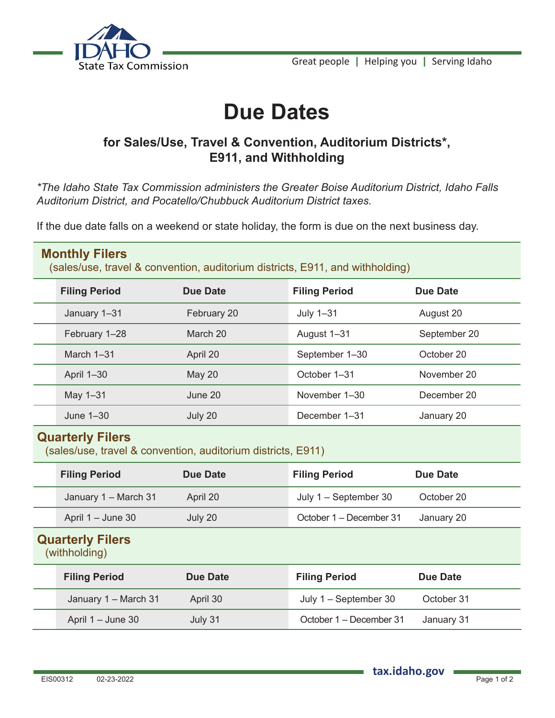



## **Due Dates**

## **for Sales/Use, Travel & Convention, Auditorium Districts\*, E911, and Withholding**

*\*The Idaho State Tax Commission administers the Greater Boise Auditorium District, Idaho Falls Auditorium District, and Pocatello/Chubbuck Auditorium District taxes.*

If the due date falls on a weekend or state holiday, the form is due on the next business day.

| <b>Monthly Filers</b><br>(sales/use, travel & convention, auditorium districts, E911, and withholding) |                      |                 |                         |                 |  |
|--------------------------------------------------------------------------------------------------------|----------------------|-----------------|-------------------------|-----------------|--|
|                                                                                                        | <b>Filing Period</b> | <b>Due Date</b> | <b>Filing Period</b>    | <b>Due Date</b> |  |
|                                                                                                        | January 1-31         | February 20     | July 1-31               | August 20       |  |
|                                                                                                        | February 1-28        | March 20        | August 1-31             | September 20    |  |
|                                                                                                        | March 1-31           | April 20        | September 1-30          | October 20      |  |
|                                                                                                        | April 1-30           | <b>May 20</b>   | October 1-31            | November 20     |  |
|                                                                                                        | May 1-31             | June 20         | November 1-30           | December 20     |  |
|                                                                                                        | June 1-30            | July 20         | December 1-31           | January 20      |  |
| <b>Quarterly Filers</b><br>(sales/use, travel & convention, auditorium districts, E911)                |                      |                 |                         |                 |  |
|                                                                                                        | <b>Filing Period</b> | <b>Due Date</b> | <b>Filing Period</b>    | <b>Due Date</b> |  |
|                                                                                                        | January 1 - March 31 | April 20        | July 1 - September 30   | October 20      |  |
|                                                                                                        | April 1 - June 30    | July 20         | October 1 - December 31 | January 20      |  |
| <b>Quarterly Filers</b><br>(withholding)                                                               |                      |                 |                         |                 |  |
|                                                                                                        | <b>Filing Period</b> | <b>Due Date</b> | <b>Filing Period</b>    | <b>Due Date</b> |  |
|                                                                                                        | January 1 - March 31 | April 30        | July 1 - September 30   | October 31      |  |
|                                                                                                        | April 1 - June 30    | July 31         | October 1 – December 31 | January 31      |  |